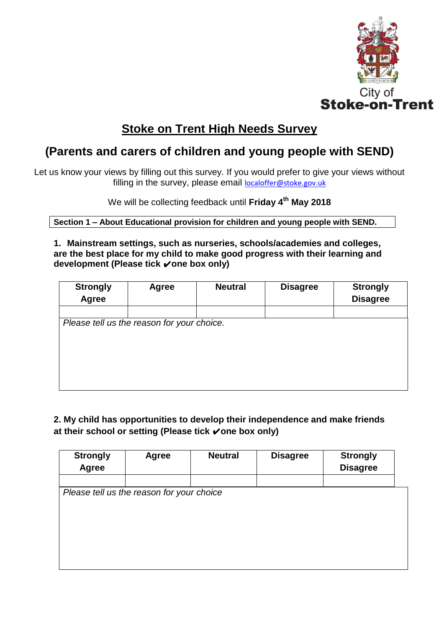

# **Stoke on Trent High Needs Survey**

## **(Parents and carers of children and young people with SEND)**

Let us know your views by filling out this survey. If you would prefer to give your views without filling in the survey, please email **[localoffer@stoke.gov.uk](mailto:localoffer@stoke.gov.uk)** 

We will be collecting feedback until **Friday 4th May 2018**

**Section 1 – About Educational provision for children and young people with SEND.**

**1. Mainstream settings, such as nurseries, schools/academies and colleges, are the best place for my child to make good progress with their learning and development (Please tick** ✔**one box only)**

| <b>Strongly</b><br><b>Agree</b> | <b>Agree</b>                               | <b>Neutral</b> | <b>Disagree</b> | <b>Strongly</b><br><b>Disagree</b> |
|---------------------------------|--------------------------------------------|----------------|-----------------|------------------------------------|
|                                 |                                            |                |                 |                                    |
|                                 | Please tell us the reason for your choice. |                |                 |                                    |
|                                 |                                            |                |                 |                                    |
|                                 |                                            |                |                 |                                    |
|                                 |                                            |                |                 |                                    |
|                                 |                                            |                |                 |                                    |
|                                 |                                            |                |                 |                                    |

**2. My child has opportunities to develop their independence and make friends at their school or setting (Please tick** ✔**one box only)**

| <b>Strongly</b><br>Agree | Agree                                     | <b>Neutral</b> | <b>Disagree</b> | <b>Strongly</b><br><b>Disagree</b> |
|--------------------------|-------------------------------------------|----------------|-----------------|------------------------------------|
|                          |                                           |                |                 |                                    |
|                          | Please tell us the reason for your choice |                |                 |                                    |
|                          |                                           |                |                 |                                    |
|                          |                                           |                |                 |                                    |
|                          |                                           |                |                 |                                    |
|                          |                                           |                |                 |                                    |
|                          |                                           |                |                 |                                    |
|                          |                                           |                |                 |                                    |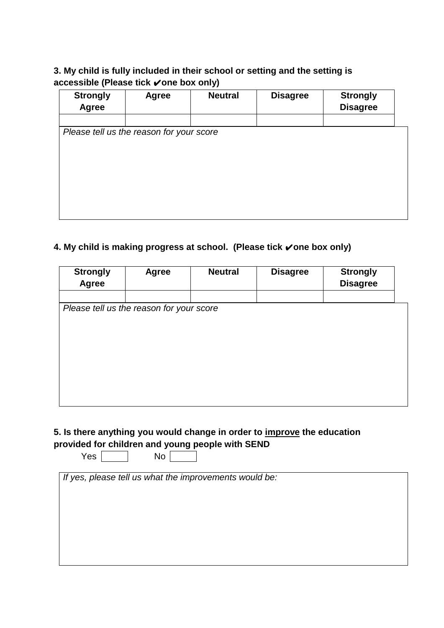### **3. My child is fully included in their school or setting and the setting is accessible (Please tick** ✔**one box only)**

| <b>Strongly</b> | Agree                                    | <b>Neutral</b> | <b>Disagree</b> | <b>Strongly</b> |  |
|-----------------|------------------------------------------|----------------|-----------------|-----------------|--|
| <b>Agree</b>    |                                          |                |                 | <b>Disagree</b> |  |
|                 |                                          |                |                 |                 |  |
|                 | Please tell us the reason for your score |                |                 |                 |  |
|                 |                                          |                |                 |                 |  |
|                 |                                          |                |                 |                 |  |
|                 |                                          |                |                 |                 |  |
|                 |                                          |                |                 |                 |  |
|                 |                                          |                |                 |                 |  |
|                 |                                          |                |                 |                 |  |
|                 |                                          |                |                 |                 |  |

### **4. My child is making progress at school. (Please tick** ✔**one box only)**

| <b>Strongly</b><br>Agree | <b>Agree</b>                             | <b>Neutral</b> | <b>Disagree</b> | <b>Strongly</b><br><b>Disagree</b> |  |
|--------------------------|------------------------------------------|----------------|-----------------|------------------------------------|--|
|                          |                                          |                |                 |                                    |  |
|                          | Please tell us the reason for your score |                |                 |                                    |  |
|                          |                                          |                |                 |                                    |  |
|                          |                                          |                |                 |                                    |  |
|                          |                                          |                |                 |                                    |  |
|                          |                                          |                |                 |                                    |  |
|                          |                                          |                |                 |                                    |  |
|                          |                                          |                |                 |                                    |  |
|                          |                                          |                |                 |                                    |  |

#### **5. Is there anything you would change in order to improve the education provided for children and young people with SEND**

 $Yes \frown \Box$  No  $\Box$ 

*If yes, please tell us what the improvements would be:*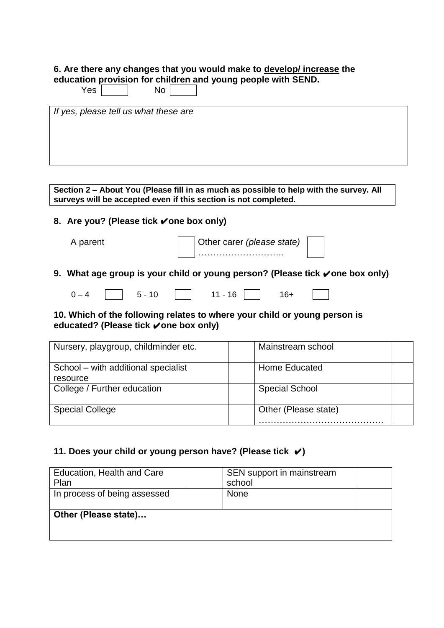#### **6. Are there any changes that you would make to develop/ increase the education provision for children and young people with SEND.**

| Yes<br>No                             |
|---------------------------------------|
| If yes, please tell us what these are |

| surveys will be accepted even if this section is not completed. | Section 2 – About You (Please fill in as much as possible to help with the survey. All |  |
|-----------------------------------------------------------------|----------------------------------------------------------------------------------------|--|
|                                                                 |                                                                                        |  |

#### **8. Are you? (Please tick** ✔**one box only)**

| A parent | Other carer (please state) |  |
|----------|----------------------------|--|
|          | .                          |  |

#### **9.** What age group is your child or young person? (Please tick √one box only)

| $\sqrt{ }$ | - - | $\overline{A}$<br>1 L<br>$\overline{\phantom{0}}$ | ∹⊥ |
|------------|-----|---------------------------------------------------|----|
|------------|-----|---------------------------------------------------|----|

#### **10. Which of the following relates to where your child or young person is educated? (Please tick** ✔**one box only)**

| Nursery, playgroup, childminder etc.            | Mainstream school     |
|-------------------------------------------------|-----------------------|
| School – with additional specialist<br>resource | Home Educated         |
| College / Further education                     | <b>Special School</b> |
| <b>Special College</b>                          | Other (Please state)  |

#### **11. Does your child or young person have? (Please tick** ✔**)**

| Education, Health and Care<br>Plan | school      | SEN support in mainstream |
|------------------------------------|-------------|---------------------------|
| In process of being assessed       | <b>None</b> |                           |
| Other (Please state)               |             |                           |